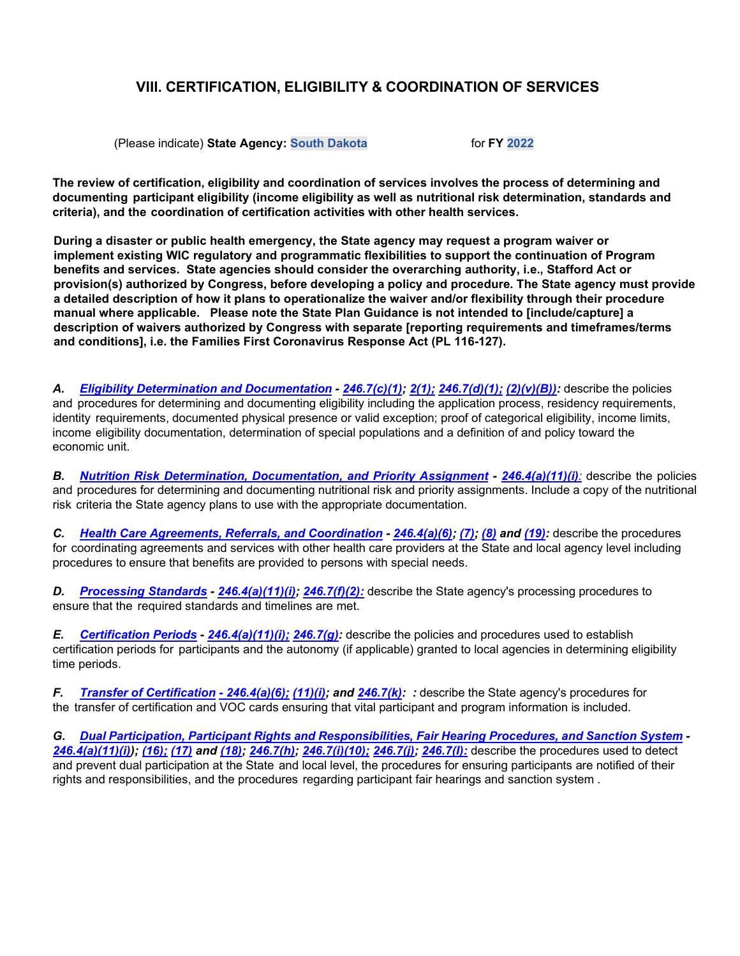# **VIII. CERTIFICATION, ELIGIBILITY & COORDINATION OF SERVICES**

(Please indicate) **State Agency: South Dakota** for **FY 2022**

**The review of certification, eligibility and coordination of services involves the process of determining and documenting participant eligibility (income eligibility as well as nutritional risk determination, standards and criteria), and the coordination of certification activities with other health services.**

**During a disaster or public health emergency, the State agency may request a program waiver or implement existing WIC regulatory and programmatic flexibilities to support the continuation of Program benefits and services. State agencies should consider the overarching authority, i.e., Stafford Act or provision(s) authorized by Congress, before developing a policy and procedure. The State agency must provide a detailed description of how it plans to operationalize the waiver and/or flexibility through their procedure manual where applicable. Please note the State Plan Guidance is not intended to [include/capture] a description of waivers authorized by Congress with separate [reporting requirements and timeframes/terms and conditions], i.e. the Families First Coronavirus Response Act (PL 116-127).**

*A. Eligibility Determination and [Documentation](#page-1-0) - [246.7\(c\)\(1\);](https://ecfr.federalregister.gov/current/title-7/subtitle-B/chapter-II/subchapter-A/part-246#p-246.7(c)(1)) [2\(1\);](https://ecfr.federalregister.gov/current/title-7/subtitle-B/chapter-II/subchapter-A/part-246#p-246.7(c)(2)(i)) [246.7\(d\)\(1\);](https://ecfr.federalregister.gov/current/title-7/subtitle-B/chapter-II/subchapter-A/part-246#p-246.7(d)(1)) [\(2\)\(v\)\(B\)\):](https://ecfr.federalregister.gov/current/title-7/subtitle-B/chapter-II/subchapter-A/part-246#p-246.7(d)(2)(v)(B))* describe the policies and procedures for determining and documenting eligibility including the application process, residency requirements, identity requirements, documented physical presence or valid exception; proof of categorical eligibility, income limits, income eligibility documentation, determination of special populations and a definition of and policy toward the economic unit.

*B. Nutrition Risk Determination, [Documentation,](#page-6-0) and Priority Assignment - [246.4\(a\)\(11\)\(i\)](https://ecfr.federalregister.gov/current/title-7/subtitle-B/chapter-II/subchapter-A/part-246#p-246.4(a)(11)(i)):* describe the policies and procedures for determining and documenting nutritional risk and priority assignments. Include a copy of the nutritional risk criteria the State agency plans to use with the appropriate documentation.

*C. Health [Care Agreements,](#page-9-0) Referrals, and Coordination - [246.4\(a\)\(6\);](https://ecfr.federalregister.gov/current/title-7/subtitle-B/chapter-II/subchapter-A/part-246#p-246.4(a)(6)) [\(7\);](https://ecfr.federalregister.gov/current/title-7/subtitle-B/chapter-II/subchapter-A/part-246#p-246.4(a)(7)) [\(8\)](https://ecfr.federalregister.gov/current/title-7/subtitle-B/chapter-II/subchapter-A/part-246#p-246.4(a)(8)) and [\(19\):](https://ecfr.federalregister.gov/current/title-7/subtitle-B/chapter-II/subchapter-A/part-246#p-246.4(a)(19))* describe the procedures for coordinating agreements and services with other health care providers at the State and local agency level including procedures to ensure that benefits are provided to persons with special needs.

*D. [Processing](#page-13-0) Standards - [246.4\(a\)\(11\)\(i\);](https://ecfr.federalregister.gov/current/title-7/subtitle-B/chapter-II/subchapter-A/part-246#p-246.4(a)(11)(i)) [246.7\(f\)\(2\):](https://ecfr.federalregister.gov/current/title-7/subtitle-B/chapter-II/subchapter-A/part-246#p-246.7(f)(2))* describe the State agency's processing procedures to ensure that the required standards and timelines are met.

*E. [Certification](#page-14-0) Periods - [246.4\(a\)\(11\)\(i\);](https://ecfr.federalregister.gov/current/title-7/subtitle-B/chapter-II/subchapter-A/part-246#p-246.4(a)(11)(i)) [246.7\(g\):](https://ecfr.federalregister.gov/current/title-7/subtitle-B/chapter-II/subchapter-A/part-246#p-246.7(g))* describe the policies and procedures used to establish certification periods for participants and the autonomy (if applicable) granted to local agencies in determining eligibility time periods.

*F. Transfer of [Certification](#page-15-0) - [246.4\(a\)\(6\);](https://ecfr.federalregister.gov/current/title-7/subtitle-B/chapter-II/subchapter-A/part-246#p-246.4(a)(6)) [\(11\)\(i\);](https://ecfr.federalregister.gov/current/title-7/subtitle-B/chapter-II/subchapter-A/part-246#p-246.4(a)(11)(i)) and [246.7\(k\):](https://ecfr.federalregister.gov/current/title-7/subtitle-B/chapter-II/subchapter-A/part-246#p-246.7(k)) :* describe the State agency's procedures for the transfer of certification and VOC cards ensuring that vital participant and program information is included.

*G. Dual Participation, Participant Rights and [Responsibilities,](#page-16-0) Fair Hearing Procedures, and Sanction System - [246.4\(a\)\(11\)\(i\)\)](https://ecfr.federalregister.gov/current/title-7/subtitle-B/chapter-II/subchapter-A/part-246#p-246.4(a)(11)(i)); [\(16\);](https://ecfr.federalregister.gov/current/title-7/subtitle-B/chapter-II/subchapter-A/part-246#p-246.4(a)(16)) [\(17\)](https://ecfr.federalregister.gov/current/title-7/subtitle-B/chapter-II/subchapter-A/part-246#p-246.4(a)(17)) and [\(18\);](https://ecfr.federalregister.gov/current/title-7/subtitle-B/chapter-II/subchapter-A/part-246#p-246.4(a)(18)) [246.7\(h\);](https://ecfr.federalregister.gov/current/title-7/subtitle-B/chapter-II/subchapter-A/part-246#p-246.7(h)) [246.7\(i\)\(10\);](https://ecfr.federalregister.gov/current/title-7/subtitle-B/chapter-II/subchapter-A/part-246#p-246.7(j)(10)) [246.7\(j\);](https://ecfr.federalregister.gov/current/title-7/subtitle-B/chapter-II/subchapter-A/part-246#p-246.7(j)) [246.7\(I\):](https://ecfr.federalregister.gov/current/title-7/subtitle-B/chapter-II/subchapter-A/part-246#p-246.7(l))* describe the procedures used to detect and prevent dual participation at the State and local level, the procedures for ensuring participants are notified of their rights and responsibilities, and the procedures regarding participant fair hearings and sanction system *.*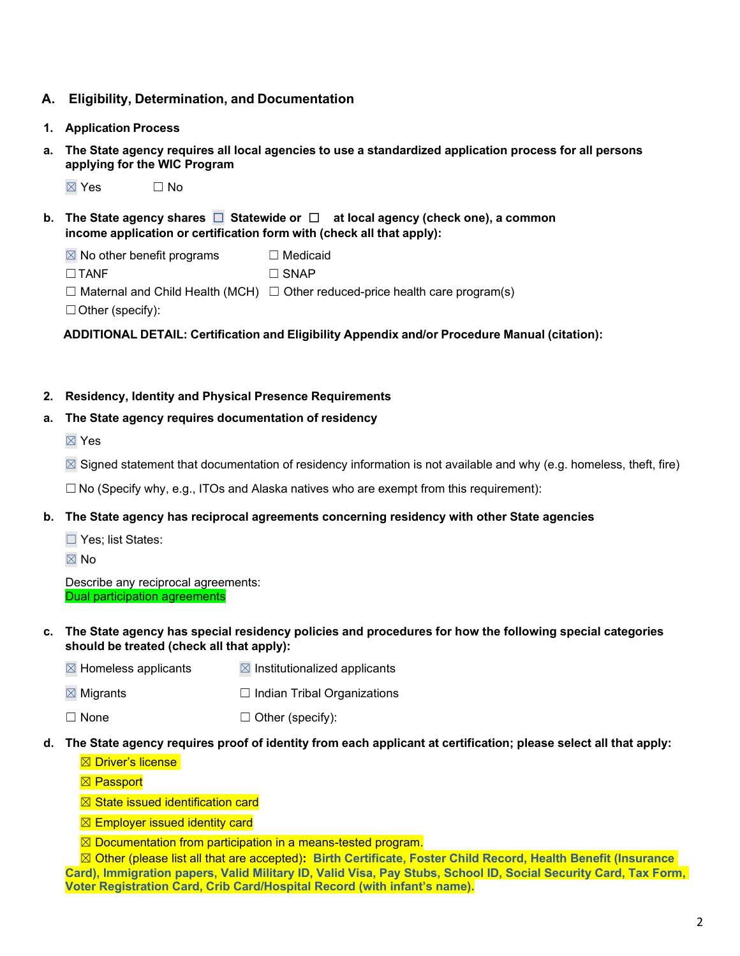# <span id="page-1-0"></span>**A. Eligibility, Determination, and Documentation**

#### **1. Application Process**

**a. The State agency requires all local agencies to use a standardized application process for all persons applying for the WIC Program**

 $\boxtimes$  Yes  $\Box$  No

**b. The State agency shares** ☐ **Statewide or** ☐ **at local agency (check one), a common income application or certification form with (check all that apply):**

| $\boxtimes$ No other benefit programs | $\Box$ Medicaid |
|---------------------------------------|-----------------|
|---------------------------------------|-----------------|

 $\square$  TANF  $\square$  SNAP

 $\Box$  Maternal and Child Health (MCH)  $\Box$  Other reduced-price health care program(s)

☐Other (specify):

**ADDITIONAL DETAIL: Certification and Eligibility Appendix and/or Procedure Manual (citation):**

#### **2. Residency, Identity and Physical Presence Requirements**

# **a. The State agency requires documentation of residency**

- ☒ Yes
- $\boxtimes$  Signed statement that documentation of residency information is not available and why (e.g. homeless, theft, fire)

 $\Box$  No (Specify why, e.g., ITOs and Alaska natives who are exempt from this requirement):

#### **b. The State agency has reciprocal agreements concerning residency with other State agencies**

☐ Yes; list States:

☒ No

Describe any reciprocal agreements: Dual participation agreements

#### **c. The State agency has special residency policies and procedures for how the following special categories should be treated (check all that apply):**

- $\boxtimes$  Homeless applicants  $\boxtimes$  Institutionalized applicants
- **⊠** Migrants □ Indian Tribal Organizations
- ☐ None ☐ Other (specify):
- **d. The State agency requires proof of identity from each applicant at certification; please select all that apply:**
	- **⊠ Driver's license**
	- **⊠ Passport**
	- **⊠ State issued identification card**
	- $\boxtimes$  Employer issued identity card
	- $\boxtimes$  Documentation from participation in a means-tested program.

☒ Other (please list all that are accepted)**: Birth Certificate, Foster Child Record, Health Benefit (Insurance Card), Immigration papers, Valid Military ID, Valid Visa, Pay Stubs, School ID, Social Security Card, Tax Form, Voter Registration Card, Crib Card/Hospital Record (with infant's name).**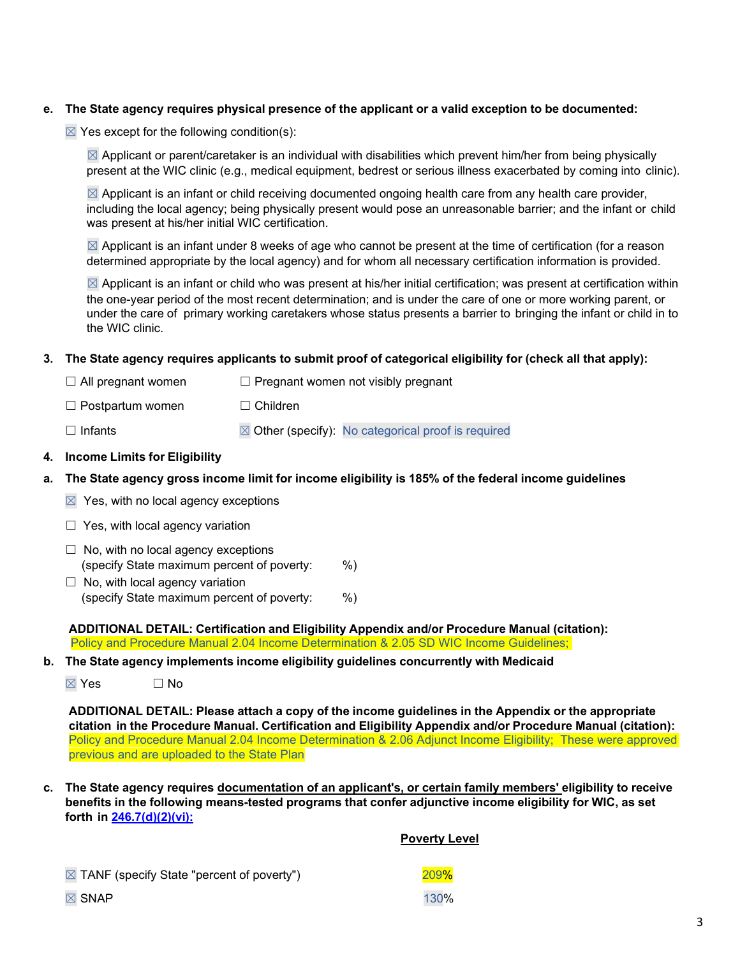# **e. The State agency requires physical presence of the applicant or a valid exception to be documented:**

 $\boxtimes$  Yes except for the following condition(s):

 $\boxtimes$  Applicant or parent/caretaker is an individual with disabilities which prevent him/her from being physically present at the WIC clinic (e.g., medical equipment, bedrest or serious illness exacerbated by coming into clinic).

 $\boxtimes$  Applicant is an infant or child receiving documented ongoing health care from any health care provider, including the local agency; being physically present would pose an unreasonable barrier; and the infant or child was present at his/her initial WIC certification.

 $\boxtimes$  Applicant is an infant under 8 weeks of age who cannot be present at the time of certification (for a reason determined appropriate by the local agency) and for whom all necessary certification information is provided.

 $\boxtimes$  Applicant is an infant or child who was present at his/her initial certification; was present at certification within the one-year period of the most recent determination; and is under the care of one or more working parent, or under the care of primary working caretakers whose status presents a barrier to bringing the infant or child in to the WIC clinic.

# 3. The State agency requires applicants to submit proof of categorical eligibility for (check all that apply):

- 
- $\Box$  All pregnant women  $\Box$  Pregnant women not visibly pregnant
- ☐ Postpartum women ☐ Children

 $\Box$  Infants  $\Box$  Other (specify): No categorical proof is required

# **4. Income Limits for Eligibility**

- **a. The State agency gross income limit for income eligibility is 185% of the federal income guidelines**
	- $\boxtimes$  Yes, with no local agency exceptions
	- $\Box$  Yes, with local agency variation
	- $\Box$  No, with no local agency exceptions (specify State maximum percent of poverty: %)
	- $\Box$  No, with local agency variation (specify State maximum percent of poverty: %)

**ADDITIONAL DETAIL: Certification and Eligibility Appendix and/or Procedure Manual (citation):** Policy and Procedure Manual 2.04 Income Determination & 2.05 SD WIC Income Guidelines;

**b. The State agency implements income eligibility guidelines concurrently with Medicaid**

 $\boxtimes$  Yes  $\Box$  No

**ADDITIONAL DETAIL: Please attach a copy of the income guidelines in the Appendix or the appropriate citation in the Procedure Manual. Certification and Eligibility Appendix and/or Procedure Manual (citation):**  Policy and Procedure Manual 2.04 Income Determination & 2.06 Adjunct Income Eligibility; These were approved previous and are uploaded to the State Plan

**c. The State agency requires documentation of an applicant's, or certain family members' eligibility to receive benefits in the following means-tested programs that confer adjunctive income eligibility for WIC, as set forth in [246.7\(d\)\(2\)\(vi\):](https://ecfr.federalregister.gov/current/title-7/subtitle-B/chapter-II/subchapter-A/part-246#p-246.7(d)(2)(vi))**

 **Poverty Level**

⊠ TANF (specify State "percent of poverty") 209%

 $\boxtimes$  SNAP 130%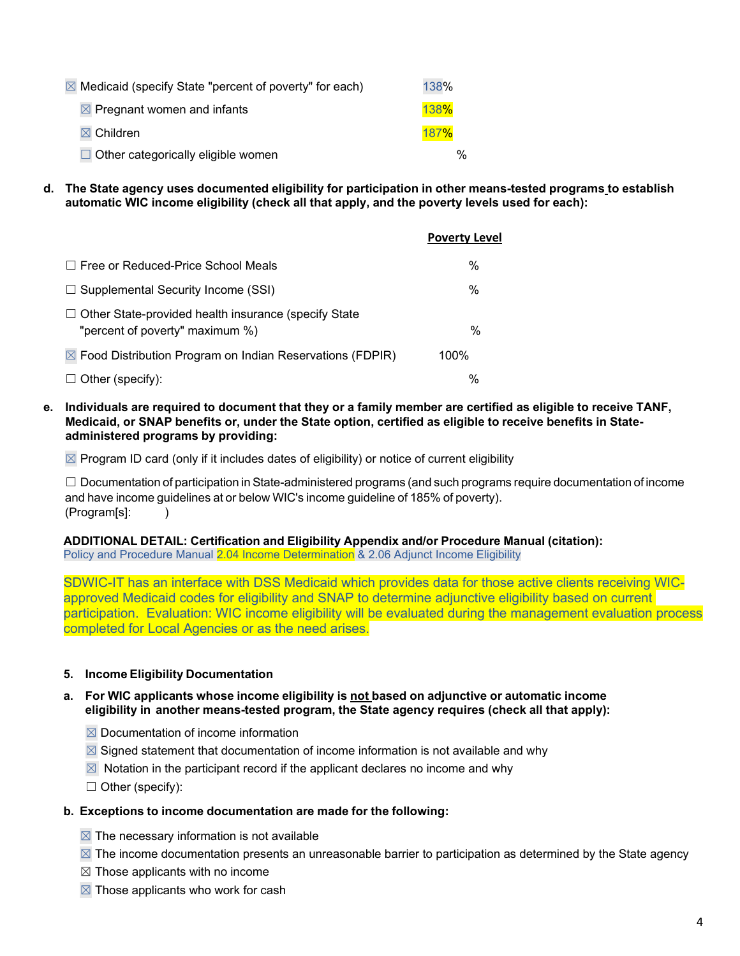| $\boxtimes$ Medicaid (specify State "percent of poverty" for each) | 138%        |
|--------------------------------------------------------------------|-------------|
| $\boxtimes$ Pregnant women and infants                             | <b>138%</b> |
| $\boxtimes$ Children                                               | <b>187%</b> |
| $\Box$ Other categorically eligible women                          | %           |

**d. The State agency uses documented eligibility for participation in other means-tested programs to establish automatic WIC income eligibility (check all that apply, and the poverty levels used for each):**

|                                                                                                | <b>Poverty Level</b> |
|------------------------------------------------------------------------------------------------|----------------------|
| $\Box$ Free or Reduced-Price School Meals                                                      | $\%$                 |
| $\Box$ Supplemental Security Income (SSI)                                                      | $\%$                 |
| $\Box$ Other State-provided health insurance (specify State<br>"percent of poverty" maximum %) | $\%$                 |
| $\boxtimes$ Food Distribution Program on Indian Reservations (FDPIR)                           | 100%                 |
| Other (specify):                                                                               | %                    |

e. Individuals are required to document that they or a family member are certified as eligible to receive TANF, Medicaid, or SNAP benefits or, under the State option, certified as eligible to receive benefits in State**administered programs by providing:**

 $\boxtimes$  Program ID card (only if it includes dates of eligibility) or notice of current eligibility

☐ Documentation of participation in State-administered programs (and such programs require documentation of income and have income guidelines at or below WIC's income guideline of 185% of poverty). (Program[s]: )

**ADDITIONAL DETAIL: Certification and Eligibility Appendix and/or Procedure Manual (citation):** Policy and Procedure Manual 2.04 Income Determination & 2.06 Adjunct Income Eligibility

SDWIC-IT has an interface with DSS Medicaid which provides data for those active clients receiving WICapproved Medicaid codes for eligibility and SNAP to determine adjunctive eligibility based on current participation. Evaluation: WIC income eligibility will be evaluated during the management evaluation process completed for Local Agencies or as the need arises.

# **5. Income Eligibility Documentation**

- **a. For WIC applicants whose income eligibility is not based on adjunctive or automatic income eligibility in another means-tested program, the State agency requires (check all that apply):**
	- $\boxtimes$  Documentation of income information
	- $\boxtimes$  Signed statement that documentation of income information is not available and why
	- $\boxtimes$  Notation in the participant record if the applicant declares no income and why
	- $\Box$  Other (specify):

# **b. Exceptions to income documentation are made for the following:**

- $\boxtimes$  The necessary information is not available
- $\boxtimes$  The income documentation presents an unreasonable barrier to participation as determined by the State agency
- $\boxtimes$  Those applicants with no income
- $\boxtimes$  Those applicants who work for cash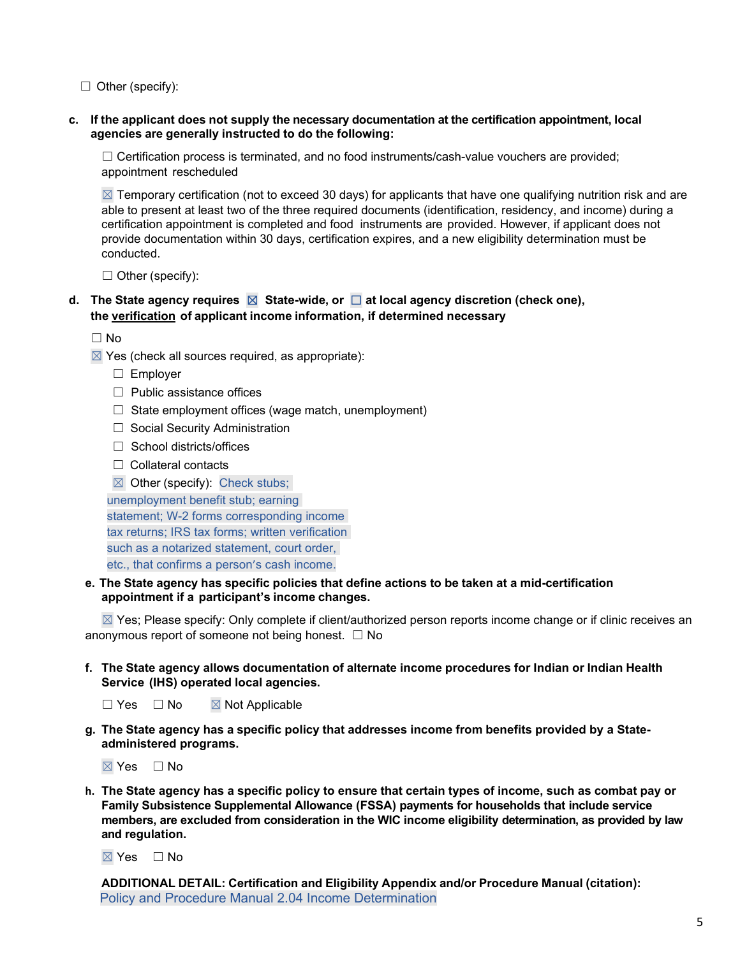$\Box$  Other (specify):

**c. If the applicant does not supply the necessary documentation at the certification appointment, local agencies are generally instructed to do the following:**

 $\Box$  Certification process is terminated, and no food instruments/cash-value vouchers are provided; appointment rescheduled

 $\boxtimes$  Temporary certification (not to exceed 30 days) for applicants that have one qualifying nutrition risk and are able to present at least two of the three required documents (identification, residency, and income) during a certification appointment is completed and food instruments are provided. However, if applicant does not provide documentation within 30 days, certification expires, and a new eligibility determination must be conducted.

 $\Box$  Other (specify):

### **d. The State agency requires** ☒ **State-wide, or** ☐ **at local agency discretion (check one), the verification of applicant income information, if determined necessary**

☐ No

- $\boxtimes$  Yes (check all sources required, as appropriate):
	- □ Employer
	- ☐ Public assistance offices
	- $\Box$  State employment offices (wage match, unemployment)
	- ☐ Social Security Administration
	- ☐ School districts/offices
	- ☐ Collateral contacts

 $\boxtimes$  Other (specify): Check stubs; unemployment benefit stub; earning statement; W-2 forms corresponding income tax returns; IRS tax forms; written verification such as a notarized statement, court order, etc., that confirms a person's cash income.

#### **e. The State agency has specific policies that define actions to be taken at a mid-certification appointment if a participant's income changes.**

 $\boxtimes$  Yes; Please specify: Only complete if client/authorized person reports income change or if clinic receives an anonymous report of someone not being honest.  $\Box$  No

#### **f. The State agency allows documentation of alternate income procedures for Indian or Indian Health Service (IHS) operated local agencies.**

 $\Box$  Yes  $\Box$  No  $\boxtimes$  Not Applicable

**g. The State agency has a specific policy that addresses income from benefits provided by a Stateadministered programs.**

☒ Yes ☐ No

h. The State agency has a specific policy to ensure that certain types of income, such as combat pay or **Family Subsistence Supplemental Allowance (FSSA) payments for households that include service members, are excluded from consideration in the WIC income eligibility determination, as provided by law and regulation.**

☒ Yes ☐ No

**ADDITIONAL DETAIL: Certification and Eligibility Appendix and/or Procedure Manual (citation):** Policy and Procedure Manual 2.04 Income Determination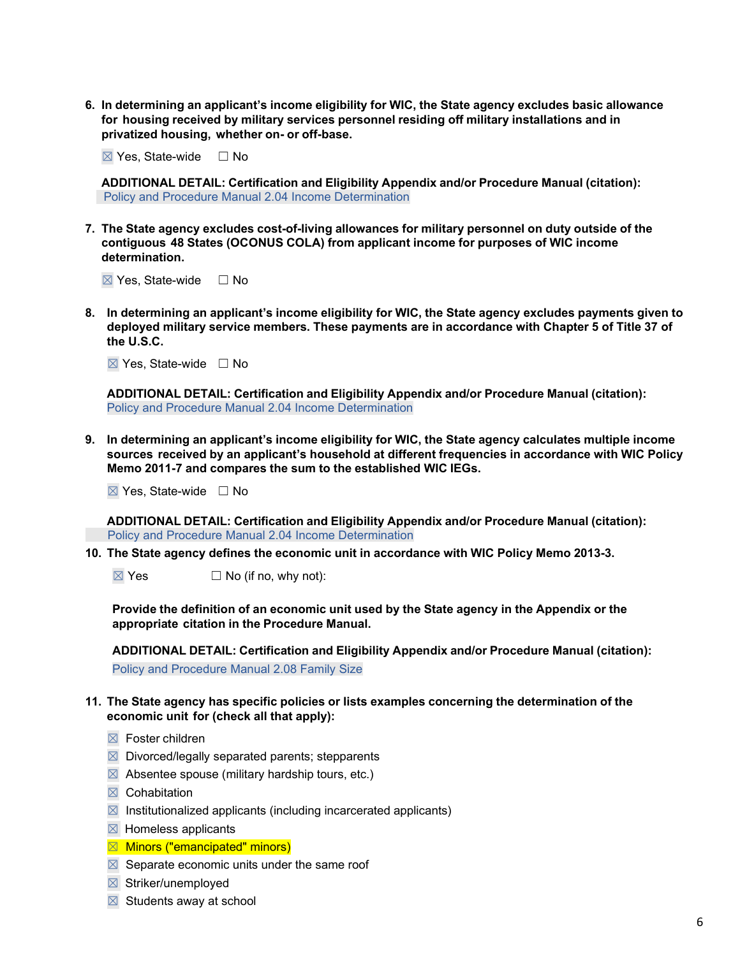**6. In determining an applicant's income eligibility for WIC, the State agency excludes basic allowance for housing received by military services personnel residing off military installations and in privatized housing, whether on- or off-base.**

☒ Yes, State-wide ☐ No

**ADDITIONAL DETAIL: Certification and Eligibility Appendix and/or Procedure Manual (citation):** Policy and Procedure Manual 2.04 Income Determination

**7. The State agency excludes cost-of-living allowances for military personnel on duty outside of the contiguous 48 States (OCONUS COLA) from applicant income for purposes of WIC income determination.**

☒ Yes, State-wide ☐ No

**8. In determining an applicant's income eligibility for WIC, the State agency excludes payments given to deployed military service members. These payments are in accordance with Chapter 5 of Title 37 of the U.S.C.**

☒ Yes, State-wide ☐ No

**ADDITIONAL DETAIL: Certification and Eligibility Appendix and/or Procedure Manual (citation):** Policy and Procedure Manual 2.04 Income Determination

**9. In determining an applicant's income eligibility for WIC, the State agency calculates multiple income sources received by an applicant's household at different frequencies in accordance with WIC Policy Memo 2011-7 and compares the sum to the established WIC IEGs.**

☒ Yes, State-wide ☐ No

**ADDITIONAL DETAIL: Certification and Eligibility Appendix and/or Procedure Manual (citation):** Policy and Procedure Manual 2.04 Income Determination

**10. The State agency defines the economic unit in accordance with WIC Policy Memo 2013-3.**

 $\boxtimes$  Yes  $\Box$  No (if no, why not):

**Provide the definition of an economic unit used by the State agency in the Appendix or the appropriate citation in the Procedure Manual.**

**ADDITIONAL DETAIL: Certification and Eligibility Appendix and/or Procedure Manual (citation):**

Policy and Procedure Manual 2.08 Family Size

- **11. The State agency has specific policies or lists examples concerning the determination of the economic unit for (check all that apply):**
	- $\boxtimes$  Foster children
	- $\boxtimes$  Divorced/legally separated parents; stepparents
	- $\boxtimes$  Absentee spouse (military hardship tours, etc.)
	- $\boxtimes$  Cohabitation
	- $\boxtimes$  Institutionalized applicants (including incarcerated applicants)
	- $\boxtimes$  Homeless applicants
	- ☒ Minors ("emancipated" minors)
	- $\boxtimes$  Separate economic units under the same roof
	- ☒ Striker/unemployed
	- $\boxtimes$  Students away at school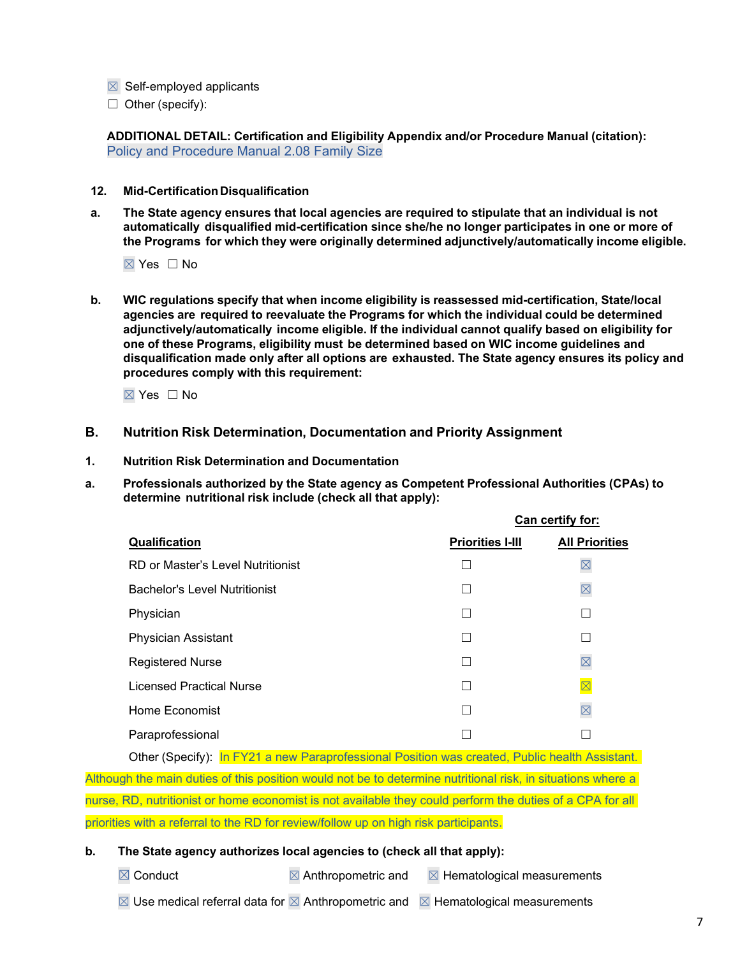- $\boxtimes$  Self-employed applicants
- $\Box$  Other (specify):

**ADDITIONAL DETAIL: Certification and Eligibility Appendix and/or Procedure Manual (citation):** Policy and Procedure Manual 2.08 Family Size

- **12. Mid-Certification Disqualification**
- **a. The State agency ensures that local agencies are required to stipulate that an individual is not automatically disqualified mid-certification since she/he no longer participates in one or more of the Programs for which they were originally determined adjunctively/automatically income eligible.**

☒ Yes ☐ No

**b. WIC regulations specify that when income eligibility is reassessed mid-certification, State/local agencies are required to reevaluate the Programs for which the individual could be determined adjunctively/automatically income eligible. If the individual cannot qualify based on eligibility for one of these Programs, eligibility must be determined based on WIC income guidelines and disqualification made only after all options are exhausted. The State agency ensures its policy and procedures comply with this requirement:**

 $\boxtimes$  Yes  $\Box$  No

- <span id="page-6-0"></span>**B. Nutrition Risk Determination, Documentation and Priority Assignment**
- **1. Nutrition Risk Determination and Documentation**
- **a. Professionals authorized by the State agency as Competent Professional Authorities (CPAs) to determine nutritional risk include (check all that apply):**

|                                      |                         | Can certify for:       |
|--------------------------------------|-------------------------|------------------------|
| Qualification                        | <b>Priorities I-III</b> | <b>All Priorities</b>  |
| RD or Master's Level Nutritionist    |                         | $\boxtimes$            |
| <b>Bachelor's Level Nutritionist</b> |                         | $\boxtimes$            |
| Physician                            |                         | $\Box$                 |
| <b>Physician Assistant</b>           |                         | L                      |
| <b>Registered Nurse</b>              |                         | $\boxtimes$            |
| <b>Licensed Practical Nurse</b>      |                         | $\overline{\boxtimes}$ |
| Home Economist                       | П                       | $\boxtimes$            |
| Paraprofessional                     |                         |                        |

Other (Specify): In FY21 a new Paraprofessional Position was created, Public health Assistant. Although the main duties of this position would not be to determine nutritional risk, in situations where a nurse, RD, nutritionist or home economist is not available they could perform the duties of a CPA for all priorities with a referral to the RD for review/follow up on high risk participants.

#### **b. The State agency authorizes local agencies to (check all that apply):**

 $\boxtimes$  Conduct  $\boxtimes$  Anthropometric and  $\boxtimes$  Hematological measurements

 $\boxtimes$  Use medical referral data for  $\boxtimes$  Anthropometric and  $\boxtimes$  Hematological measurements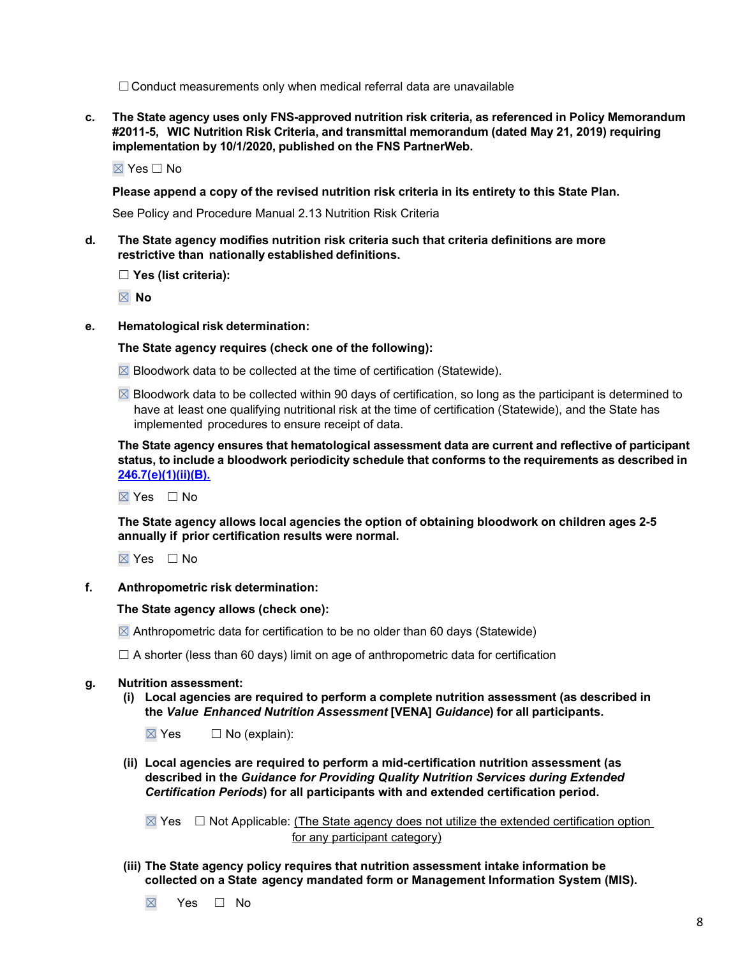☐Conduct measurements only when medical referral data are unavailable

**c. The State agency uses only FNS-approved nutrition risk criteria, as referenced in Policy Memorandum #2011-5, WIC Nutrition Risk Criteria, and transmittal memorandum (dated May 21, 2019) requiring implementation by 10/1/2020, published on the FNS PartnerWeb.**

☒ Yes ☐ No

**Please append a copy of the revised nutrition risk criteria in its entirety to this State Plan.**

See Policy and Procedure Manual 2.13 Nutrition Risk Criteria

- **d. The State agency modifies nutrition risk criteria such that criteria definitions are more restrictive than nationally established definitions.**
	- ☐ **Yes (list criteria):**

☒ **No**

**e. Hematological risk determination:**

**The State agency requires (check one of the following):**

- $\boxtimes$  Bloodwork data to be collected at the time of certification (Statewide).
- $\boxtimes$  Bloodwork data to be collected within 90 days of certification, so long as the participant is determined to have at least one qualifying nutritional risk at the time of certification (Statewide), and the State has implemented procedures to ensure receipt of data.

**The State agency ensures that hematological assessment data are current and reflective of participant status, to include a bloodwork periodicity schedule that conforms to the requirements as described in [246.7\(e\)\(1\)\(ii\)\(B\).](https://ecfr.federalregister.gov/current/title-7/subtitle-B/chapter-II/subchapter-A/part-246#p-246.7(e)(1)(ii)(B))**

☒ Yes ☐ No

**The State agency allows local agencies the option of obtaining bloodwork on children ages 2-5 annually if prior certification results were normal.**

☒ Yes ☐ No

**f. Anthropometric risk determination:**

#### **The State agency allows (check one):**

 $\boxtimes$  Anthropometric data for certification to be no older than 60 days (Statewide)

 $\Box$  A shorter (less than 60 days) limit on age of anthropometric data for certification

#### **g. Nutrition assessment:**

**(i) Local agencies are required to perform a complete nutrition assessment (as described in the** *Value Enhanced Nutrition Assessment* **[VENA]** *Guidance***) for all participants.**

 $\boxtimes$  Yes  $\Box$  No (explain):

**(ii) Local agencies are required to perform a mid-certification nutrition assessment (as described in the** *Guidance for Providing Quality Nutrition Services during Extended Certification Periods***) for all participants with and extended certification period.**

 $\boxtimes$  Yes  $\Box$  Not Applicable: (The State agency does not utilize the extended certification option for any participant category)

**(iii) The State agency policy requires that nutrition assessment intake information be collected on a State agency mandated form or Management Information System (MIS).**

☒ Yes ☐ No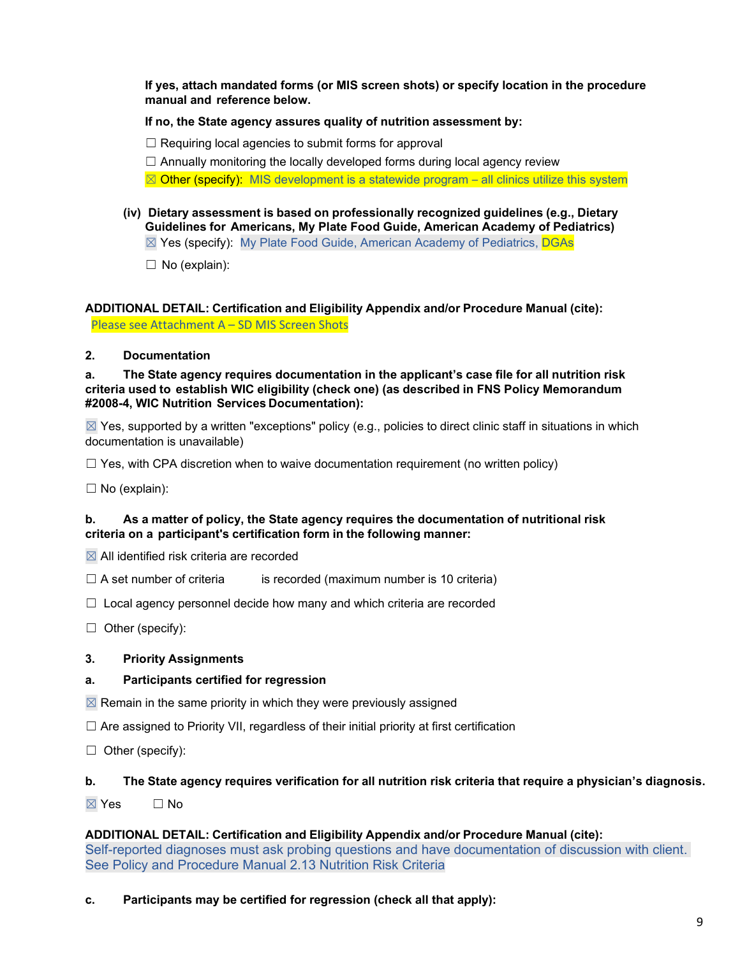**If yes, attach mandated forms (or MIS screen shots) or specify location in the procedure manual and reference below.**

### **If no, the State agency assures quality of nutrition assessment by:**

 $\Box$  Requiring local agencies to submit forms for approval

 $\Box$  Annually monitoring the locally developed forms during local agency review

 $\boxtimes$  Other (specify): MIS development is a statewide program – all clinics utilize this system

**(iv) Dietary assessment is based on professionally recognized guidelines (e.g., Dietary Guidelines for Americans, My Plate Food Guide, American Academy of Pediatrics)** ☒ Yes (specify): My Plate Food Guide, American Academy of Pediatrics, DGAs

 $\Box$  No (explain):

# **ADDITIONAL DETAIL: Certification and Eligibility Appendix and/or Procedure Manual (cite):** Please see Attachment A – SD MIS Screen Shots

#### **2. Documentation**

**a. The State agency requires documentation in the applicant's case file for all nutrition risk criteria used to establish WIC eligibility (check one) (as described in FNS Policy Memorandum #2008-4, WIC Nutrition Services Documentation):**

 $\boxtimes$  Yes, supported by a written "exceptions" policy (e.g., policies to direct clinic staff in situations in which documentation is unavailable)

 $\Box$  Yes, with CPA discretion when to waive documentation requirement (no written policy)

 $\Box$  No (explain):

#### **b. As a matter of policy, the State agency requires the documentation of nutritional risk criteria on a participant's certification form in the following manner:**

- $\boxtimes$  All identified risk criteria are recorded
- $\Box$  A set number of criteria is recorded (maximum number is 10 criteria)
- ☐ Local agency personnel decide how many and which criteria are recorded
- $\Box$  Other (specify):

#### **3. Priority Assignments**

#### **a. Participants certified for regression**

 $\boxtimes$  Remain in the same priority in which they were previously assigned

- $\Box$  Are assigned to Priority VII, regardless of their initial priority at first certification
- ☐ Other (specify):

# **b. The State agency requires verification for all nutrition risk criteria that require a physician's diagnosis.**

 $\boxtimes$  Yes  $\Box$  No

#### **ADDITIONAL DETAIL: Certification and Eligibility Appendix and/or Procedure Manual (cite):**

Self-reported diagnoses must ask probing questions and have documentation of discussion with client. See Policy and Procedure Manual 2.13 Nutrition Risk Criteria

# **c. Participants may be certified for regression (check all that apply):**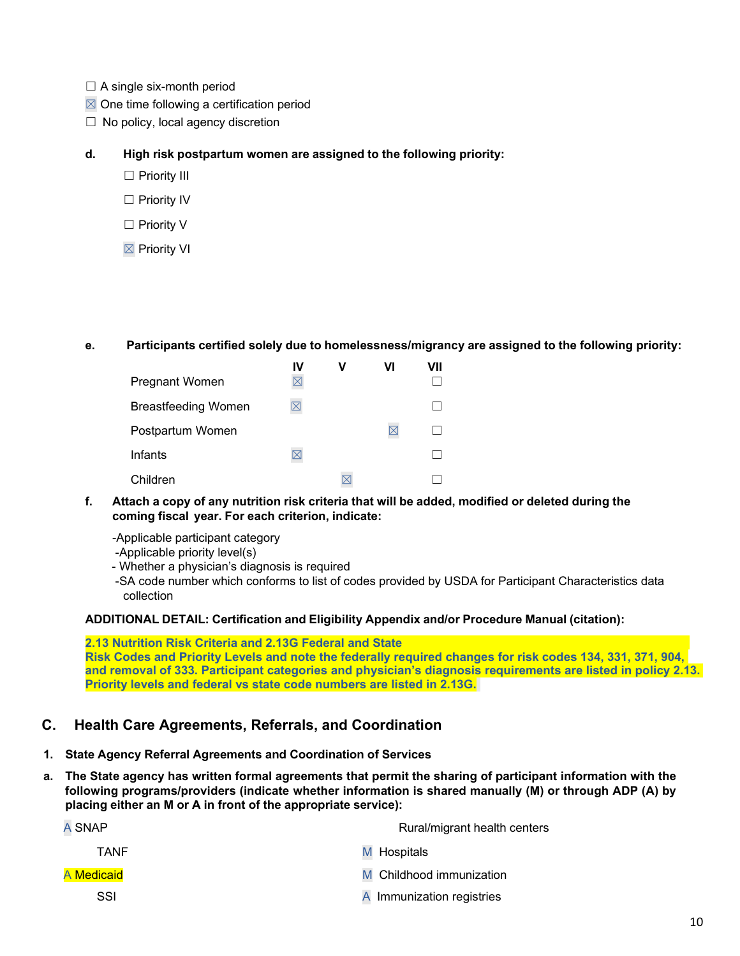- $\Box$  A single six-month period
- $\boxtimes$  One time following a certification period
- $\Box$  No policy, local agency discretion
- **d. High risk postpartum women are assigned to the following priority:**
	- □ Priority III
	- □ Priority IV
	- ☐ Priority V
	- ☒ Priority VI

#### **e. Participants certified solely due to homelessness/migrancy are assigned to the following priority:**

|                            | IV | vı | VII |
|----------------------------|----|----|-----|
| <b>Pregnant Women</b>      |    |    |     |
| <b>Breastfeeding Women</b> |    |    |     |
| Postpartum Women           |    |    |     |
| Infants                    |    |    |     |
| Children                   |    |    |     |

#### **f. Attach a copy of any nutrition risk criteria that will be added, modified or deleted during the coming fiscal year. For each criterion, indicate:**

-Applicable participant category

- -Applicable priority level(s)
- Whether a physician's diagnosis is required
- -SA code number which conforms to list of codes provided by USDA for Participant Characteristics data collection

#### **ADDITIONAL DETAIL: Certification and Eligibility Appendix and/or Procedure Manual (citation):**

**2.13 Nutrition Risk Criteria and 2.13G Federal and State Risk Codes and Priority Levels and note the federally required changes for risk codes 134, 331, 371, 904, and removal of 333. Participant categories and physician's diagnosis requirements are listed in policy 2.13. Priority levels and federal vs state code numbers are listed in 2.13G.**

# <span id="page-9-0"></span>**C. Health Care Agreements, Referrals, and Coordination**

- **1. State Agency Referral Agreements and Coordination of Services**
- a. The State agency has written formal agreements that permit the sharing of participant information with the **following programs/providers (indicate whether information is shared manually (M) or through ADP (A) by placing either an M or A in front of the appropriate service):**

| A SNAP     | Rural/migrant health centers |  |
|------------|------------------------------|--|
| TANF       | M Hospitals                  |  |
| A Medicaid | M Childhood immunization     |  |
| SSI        | A Immunization registries    |  |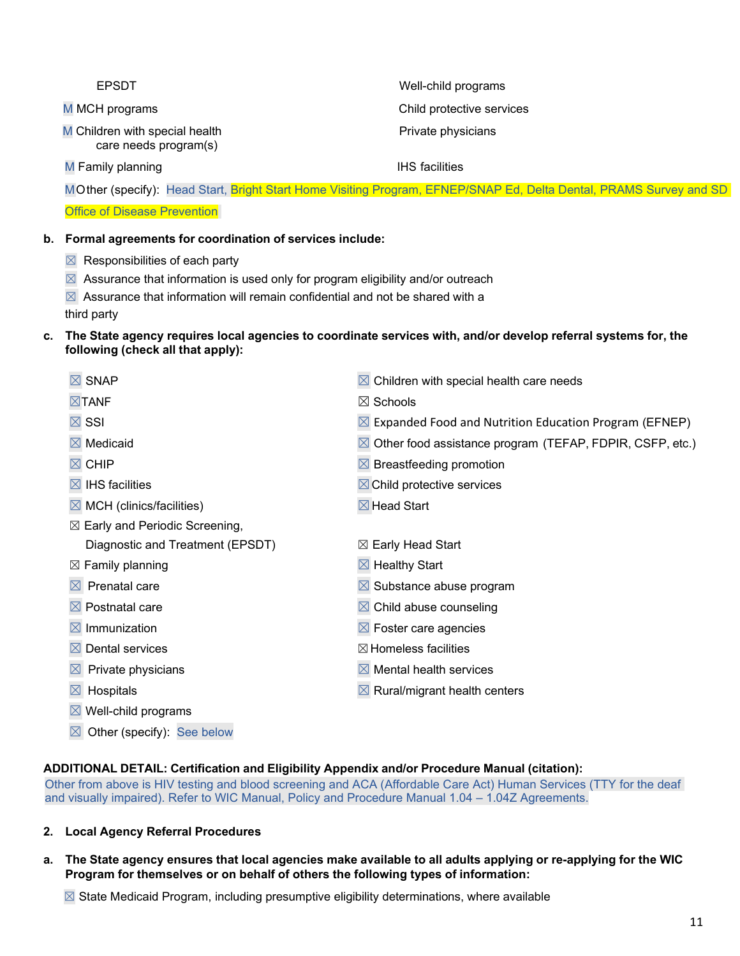| <b>EPSDT</b>                                            | Well-child programs                                                                                                |
|---------------------------------------------------------|--------------------------------------------------------------------------------------------------------------------|
| M MCH programs                                          | Child protective services                                                                                          |
| M Children with special health<br>care needs program(s) | Private physicians                                                                                                 |
| M Family planning                                       | <b>IHS</b> facilities                                                                                              |
|                                                         | MOther (specify): Head Start, Bright Start Home Visiting Program, EFNEP/SNAP Ed, Delta Dental, PRAMS Survey and SD |
|                                                         |                                                                                                                    |

Office of Disease Prevention

# **b. Formal agreements for coordination of services include:**

- $\boxtimes$  Responsibilities of each party
- $\boxtimes$  Assurance that information is used only for program eligibility and/or outreach
- $\boxtimes$  Assurance that information will remain confidential and not be shared with a

third party

### c. The State agency requires local agencies to coordinate services with, and/or develop referral systems for, the **following (check all that apply):**

| <b>SNAP</b><br>$\bowtie$                  | Children with special health care needs                           |
|-------------------------------------------|-------------------------------------------------------------------|
| $\boxtimes$ TANF                          | $\boxtimes$ Schools                                               |
| $\boxtimes$ SSI                           | $\boxtimes$ Expanded Food and Nutrition Education Program (EFNEP) |
| Medicaid                                  | Other food assistance program (TEFAP, FDPIR, CSFP, etc.)          |
| <b>CHIP</b><br>$\boxtimes$                | Breastfeeding promotion                                           |
| <b>IHS</b> facilities<br>$\bowtie$        | $\boxtimes$ Child protective services                             |
| $\boxtimes$ MCH (clinics/facilities)      | $\boxtimes$ Head Start                                            |
| $\boxtimes$ Early and Periodic Screening, |                                                                   |
| Diagnostic and Treatment (EPSDT)          | $\boxtimes$ Early Head Start                                      |
| $\boxtimes$ Family planning               | $\boxtimes$ Healthy Start                                         |
| Prenatal care<br>$\boxtimes$              | $\boxtimes$ Substance abuse program                               |
| $\boxtimes$ Postnatal care                | Child abuse counseling<br>$\boxtimes$                             |
| $\bowtie$<br>Immunization                 | $\boxtimes$ Foster care agencies                                  |
| Dental services                           | $\boxtimes$ Homeless facilities                                   |
| $\boxtimes$<br>Private physicians         | $\boxtimes$ Mental health services                                |
| $\boxtimes$<br>Hospitals                  | $\boxtimes$ Rural/migrant health centers                          |
| Well-child programs                       |                                                                   |
| Other (specify): See below                |                                                                   |

# **ADDITIONAL DETAIL: Certification and Eligibility Appendix and/or Procedure Manual (citation):**

Other from above is HIV testing and blood screening and ACA (Affordable Care Act) Human Services (TTY for the deaf and visually impaired). Refer to WIC Manual, Policy and Procedure Manual 1.04 – 1.04Z Agreements.

# **2. Local Agency Referral Procedures**

a. The State agency ensures that local agencies make available to all adults applying or re-applying for the WIC **Program for themselves or on behalf of others the following types of information:**

 $\boxtimes$  State Medicaid Program, including presumptive eligibility determinations, where available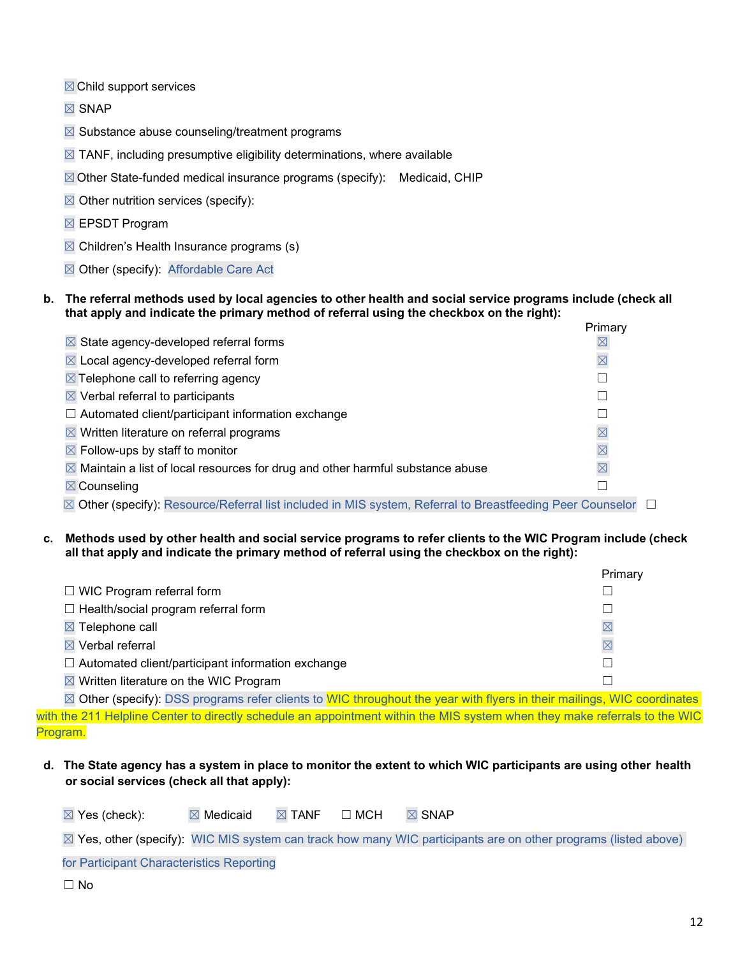- ☒Child support services
- ☒ SNAP
- ☒ Substance abuse counseling/treatment programs
- $\boxtimes$  TANF, including presumptive eligibility determinations, where available
- ☒Other State-funded medical insurance programs (specify): Medicaid, CHIP
- $\boxtimes$  Other nutrition services (specify):
- ☒ EPSDT Program
- $\boxtimes$  Children's Health Insurance programs (s)
- ☒ Other (specify): Affordable Care Act
- b. The referral methods used by local agencies to other health and social service programs include (check all **that apply and indicate the primary method of referral using the checkbox on the right):**

|                                                                                                              | Primary     |
|--------------------------------------------------------------------------------------------------------------|-------------|
| $\boxtimes$ State agency-developed referral forms                                                            |             |
| $\boxtimes$ Local agency-developed referral form                                                             | $\boxtimes$ |
| $\boxtimes$ Telephone call to referring agency                                                               |             |
| $\boxtimes$ Verbal referral to participants                                                                  |             |
| $\Box$ Automated client/participant information exchange                                                     |             |
| $\boxtimes$ Written literature on referral programs                                                          | $\boxtimes$ |
| $\boxtimes$ Follow-ups by staff to monitor                                                                   | $\boxtimes$ |
| $\boxtimes$ Maintain a list of local resources for drug and other harmful substance abuse                    | $\boxtimes$ |
| $\boxtimes$ Counseling                                                                                       |             |
| ⊠ Other (specify): Resource/Referral list included in MIS system, Referral to Breastfeeding Peer Counselor □ |             |

c. Methods used by other health and social service programs to refer clients to the WIC Program include (check **all that apply and indicate the primary method of referral using the checkbox on the right):**

| Primary     |
|-------------|
|             |
|             |
| $\boxtimes$ |
| $\boxtimes$ |
|             |
|             |
|             |

 $\boxtimes$  Other (specify): DSS programs refer clients to WIC throughout the year with flyers in their mailings, WIC coordinates with the 211 Helpline Center to directly schedule an appointment within the MIS system when they make referrals to the WIC Program.

d. The State agency has a system in place to monitor the extent to which WIC participants are using other health **or social services (check all that apply):**

 $\boxtimes$  Yes (check):  $\boxtimes$  Medicaid  $\boxtimes$  TANF  $\Box$  MCH  $\boxtimes$  SNAP

☒ Yes, other (specify): WIC MIS system can track how many WIC participants are on other programs (listed above)

for Participant Characteristics Reporting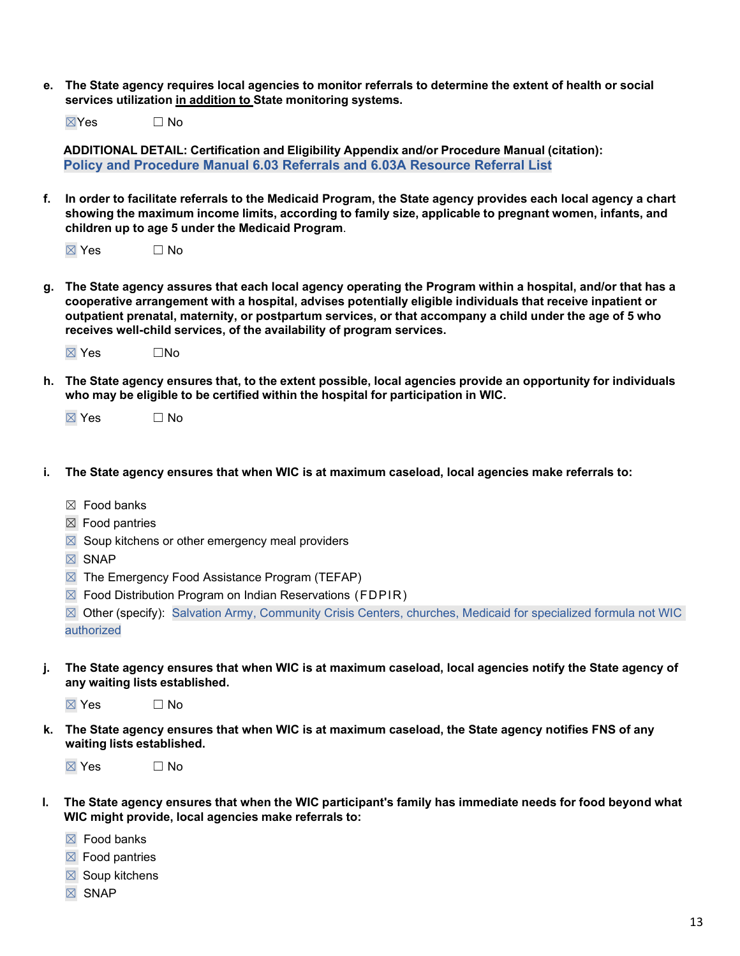e. The State agency requires local agencies to monitor referrals to determine the extent of health or social **services utilization in addition to State monitoring systems.**

 $\boxtimes$ Yes  $\Box$  No

**ADDITIONAL DETAIL: Certification and Eligibility Appendix and/or Procedure Manual (citation): Policy and Procedure Manual 6.03 Referrals and 6.03A Resource Referral List**

- f. In order to facilitate referrals to the Medicaid Program, the State agency provides each local agency a chart **showing the maximum income limits, according to family size, applicable to pregnant women, infants, and children up to age 5 under the Medicaid Program**.
	- $\boxtimes$  Yes  $\Box$  No
- g. The State agency assures that each local agency operating the Program within a hospital, and/or that has a **cooperative arrangement with a hospital, advises potentially eligible individuals that receive inpatient or outpatient prenatal, maternity, or postpartum services, or that accompany a child under the age of 5 who receives well-child services, of the availability of program services.**
	- ☒ Yes ☐No
- h. The State agency ensures that, to the extent possible, local agencies provide an opportunity for individuals **who may be eligible to be certified within the hospital for participation in WIC.**
	- $\boxtimes$  Yes  $\Box$  No
- **i. The State agency ensures that when WIC is at maximum caseload, local agencies make referrals to:**
	- ☒ Food banks
	- ☒ Food pantries
	- $\boxtimes$  Soup kitchens or other emergency meal providers
	- ☒ SNAP
	- $\boxtimes$  The Emergency Food Assistance Program (TEFAP)
	- $\boxtimes$  Food Distribution Program on Indian Reservations (FDPIR)

☒ Other (specify): Salvation Army, Community Crisis Centers, churches, Medicaid for specialized formula not WIC authorized

**j. The State agency ensures that when WIC is at maximum caseload, local agencies notify the State agency of any waiting lists established.**

 $\boxtimes$  Yes  $\Box$  No

**k. The State agency ensures that when WIC is at maximum caseload, the State agency notifies FNS of any waiting lists established.**

 $\boxtimes$  Yes  $\Box$  No

- I. The State agency ensures that when the WIC participant's family has immediate needs for food beyond what **WIC might provide, local agencies make referrals to:**
	- $\boxtimes$  Food banks
	- $\boxtimes$  Food pantries
	- $\boxtimes$  Soup kitchens
	- ☒ SNAP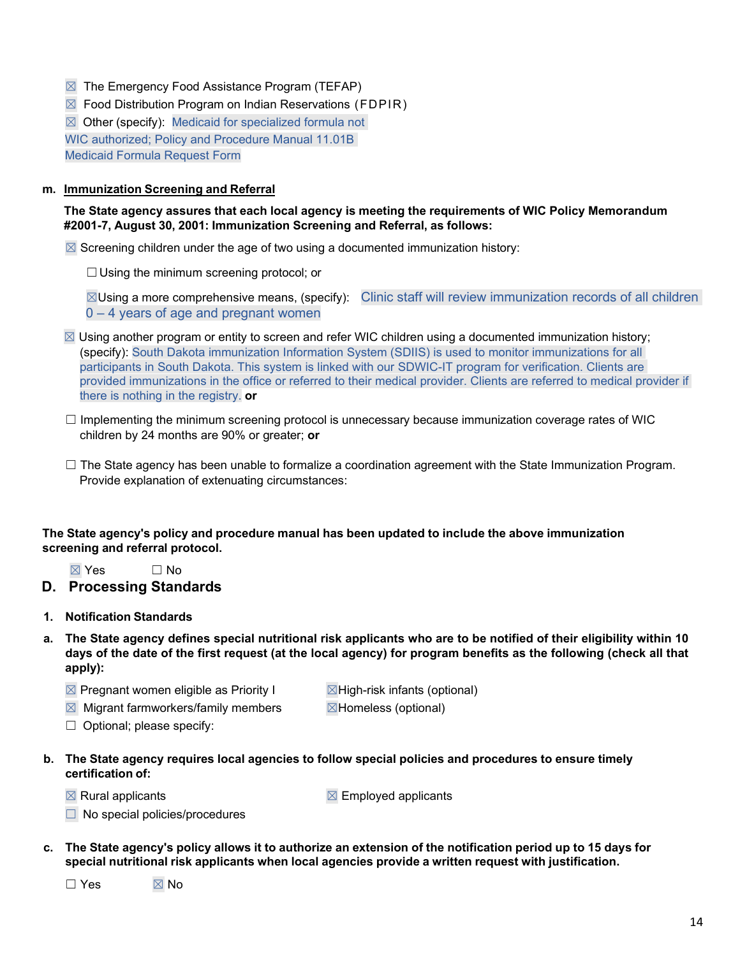- $\boxtimes$  The Emergency Food Assistance Program (TEFAP)
- $\boxtimes$  Food Distribution Program on Indian Reservations (FDPIR)

 $\boxtimes$  Other (specify): Medicaid for specialized formula not WIC authorized; Policy and Procedure Manual 11.01B Medicaid Formula Request Form

#### **m. Immunization Screening and Referral**

### **The State agency assures that each local agency is meeting the requirements of WIC Policy Memorandum #2001-7, August 30, 2001: Immunization Screening and Referral, as follows:**

 $\boxtimes$  Screening children under the age of two using a documented immunization history:

☐Using the minimum screening protocol; or

 $\boxtimes$ Using a more comprehensive means, (specify): Clinic staff will review immunization records of all children 0 – 4 years of age and pregnant women

- $\boxtimes$  Using another program or entity to screen and refer WIC children using a documented immunization history; (specify): South Dakota immunization Information System (SDIIS) is used to monitor immunizations for all participants in South Dakota. This system is linked with our SDWIC-IT program for verification. Clients are provided immunizations in the office or referred to their medical provider. Clients are referred to medical provider if there is nothing in the registry. **or**
- $\Box$  Implementing the minimum screening protocol is unnecessary because immunization coverage rates of WIC children by 24 months are 90% or greater; **or**
- ☐ The State agency has been unable to formalize a coordination agreement with the State Immunization Program. Provide explanation of extenuating circumstances:

#### **The State agency's policy and procedure manual has been updated to include the above immunization screening and referral protocol.**

 $\boxtimes$  Yes  $\Box$  No

# <span id="page-13-0"></span>**D. Processing Standards**

- **1. Notification Standards**
- a. The State agency defines special nutritional risk applicants who are to be notified of their eligibility within 10 days of the date of the first request (at the local agency) for program benefits as the following (check all that **apply):**
	- $\boxtimes$  Pregnant women eligible as Priority I  $\boxtimes$  High-risk infants (optional)

- $\boxtimes$  Migrant farmworkers/family members  $\boxtimes$  Homeless (optional)
	-

- $\Box$  Optional; please specify:
- **b. The State agency requires local agencies to follow special policies and procedures to ensure timely certification of:**

 $\boxtimes$  Rural applicants  $\boxtimes$  Employed applicants

- $\Box$  No special policies/procedures
- c. The State agency's policy allows it to authorize an extension of the notification period up to 15 days for **special nutritional risk applicants when local agencies provide a written request with justification.**

 $\square$  Yes  $\square$  No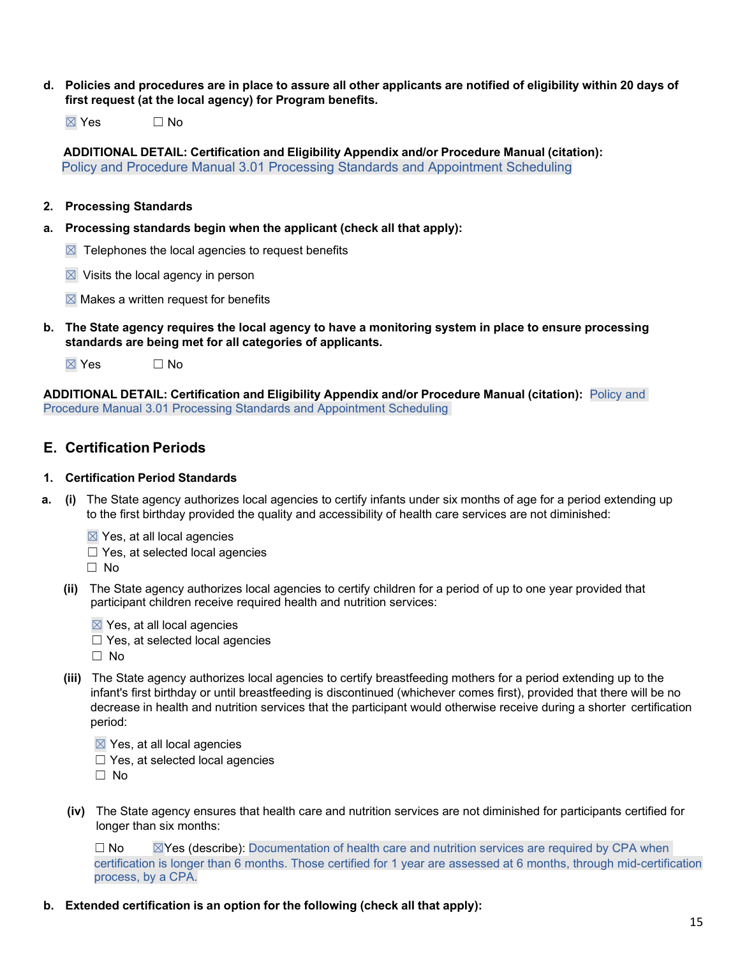d. Policies and procedures are in place to assure all other applicants are notified of eligibility within 20 days of **first request (at the local agency) for Program benefits.**

 $\boxtimes$  Yes  $\Box$  No

**ADDITIONAL DETAIL: Certification and Eligibility Appendix and/or Procedure Manual (citation):** Policy and Procedure Manual 3.01 Processing Standards and Appointment Scheduling

### **2. Processing Standards**

- **a. Processing standards begin when the applicant (check all that apply):**
	- $\boxtimes$  Telephones the local agencies to request benefits
	- $\boxtimes$  Visits the local agency in person
	- $\boxtimes$  Makes a written request for benefits
- b. The State agency requires the local agency to have a monitoring system in place to ensure processing **standards are being met for all categories of applicants.**
	- $\boxtimes$  Yes  $\Box$  No

**ADDITIONAL DETAIL: Certification and Eligibility Appendix and/or Procedure Manual (citation):** Policy and Procedure Manual 3.01 Processing Standards and Appointment Scheduling

# <span id="page-14-0"></span>**E. Certification Periods**

#### **1. Certification Period Standards**

- **a. (i)** The State agency authorizes local agencies to certify infants under six months of age for a period extending up to the first birthday provided the quality and accessibility of health care services are not diminished:
	- ☒ Yes, at all local agencies
	- $\Box$  Yes, at selected local agencies
	- ☐ No
	- **(ii)** The State agency authorizes local agencies to certify children for a period of up to one year provided that participant children receive required health and nutrition services:
		- $\boxtimes$  Yes, at all local agencies
		- $\Box$  Yes, at selected local agencies
		- ☐ No
	- **(iii)** The State agency authorizes local agencies to certify breastfeeding mothers for a period extending up to the infant's first birthday or until breastfeeding is discontinued (whichever comes first), provided that there will be no decrease in health and nutrition services that the participant would otherwise receive during a shorter certification period:
		- $\boxtimes$  Yes, at all local agencies
		- □ Yes, at selected local agencies
		- ☐ No
	- **(iv)** The State agency ensures that health care and nutrition services are not diminished for participants certified for longer than six months:

 $\square$  No  $\square$  Yes (describe): Documentation of health care and nutrition services are required by CPA when certification is longer than 6 months. Those certified for 1 year are assessed at 6 months, through mid-certification process, by a CPA.

**b. Extended certification is an option for the following (check all that apply):**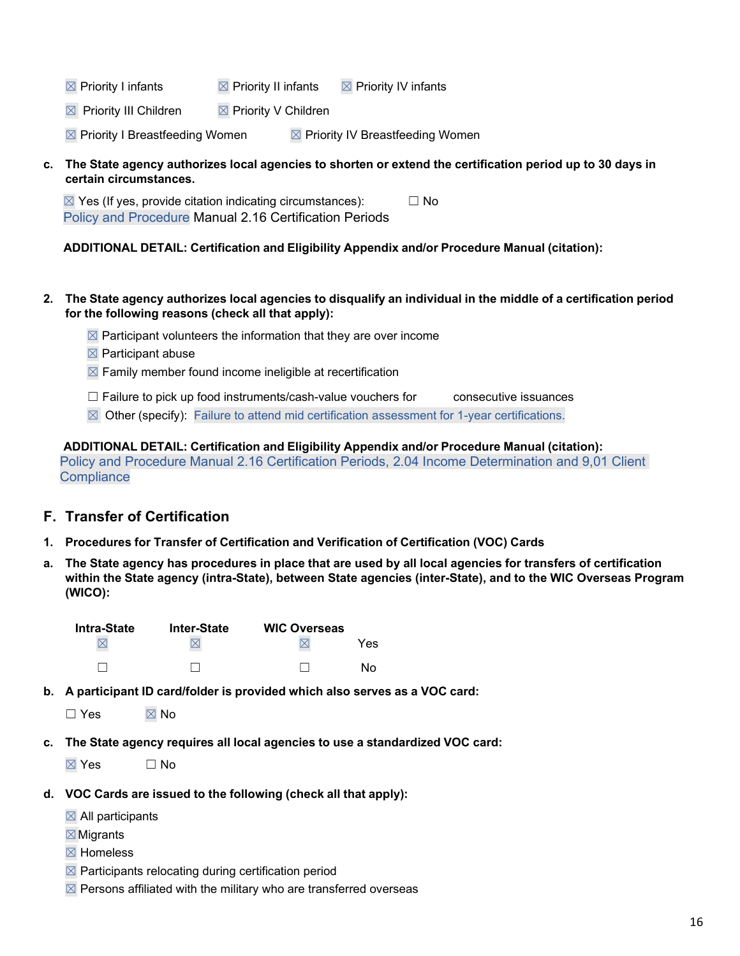- $\boxtimes$  Priority I infants  $\boxtimes$  Priority II infants  $\boxtimes$  Priority IV infants
- $\boxtimes$  Priority III Children  $\boxtimes$  Priority V Children
- $\boxtimes$  Priority I Breastfeeding Women  $\boxtimes$  Priority IV Breastfeeding Women
- c. The State agency authorizes local agencies to shorten or extend the certification period up to 30 days in **certain circumstances.**

 $\boxtimes$  Yes (If yes, provide citation indicating circumstances):  $\Box$  No Policy and Procedure Manual 2.16 Certification Periods

**ADDITIONAL DETAIL: Certification and Eligibility Appendix and/or Procedure Manual (citation):**

- 2. The State agency authorizes local agencies to disqualify an individual in the middle of a certification period **for the following reasons (check all that apply):**
	- $\boxtimes$  Participant volunteers the information that they are over income
	- $\boxtimes$  Participant abuse
	- $\boxtimes$  Family member found income ineligible at recertification
	- $\Box$  Failure to pick up food instruments/cash-value vouchers for consecutive issuances
	- $\boxtimes$  Other (specify): Failure to attend mid certification assessment for 1-year certifications.

**ADDITIONAL DETAIL: Certification and Eligibility Appendix and/or Procedure Manual (citation):** Policy and Procedure Manual 2.16 Certification Periods, 2.04 Income Determination and 9,01 Client **Compliance** 

# <span id="page-15-0"></span>**F. Transfer of Certification**

- **1. Procedures for Transfer of Certification and Verification of Certification (VOC) Cards**
- a. The State agency has procedures in place that are used by all local agencies for transfers of certification **within the State agency (intra-State), between State agencies (inter-State), and to the WIC Overseas Program (WICO):**

| <b>Intra-State</b> | <b>Inter-State</b> | <b>WIC Overseas</b> |     |
|--------------------|--------------------|---------------------|-----|
|                    |                    |                     | Yes |
|                    |                    |                     | N٥  |

**b. A participant ID card/folder is provided which also serves as a VOC card:**

 $\square$  Yes  $\square$  No

**c. The State agency requires all local agencies to use a standardized VOC card:**

☒ Yes ☐ No

- **d. VOC Cards are issued to the following (check all that apply):**
	- $\boxtimes$  All participants
	- ☒Migrants
	- ☒ Homeless
	- $\boxtimes$  Participants relocating during certification period
	- $\boxtimes$  Persons affiliated with the military who are transferred overseas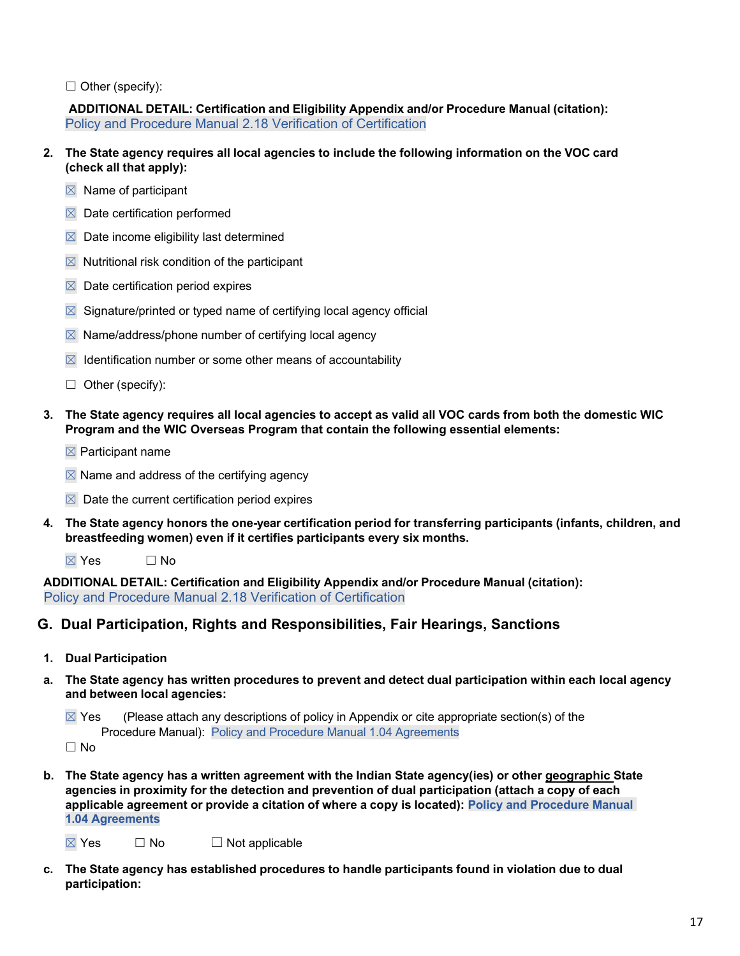□ Other (specify):

**ADDITIONAL DETAIL: Certification and Eligibility Appendix and/or Procedure Manual (citation):** Policy and Procedure Manual 2.18 Verification of Certification

- **2. The State agency requires all local agencies to include the following information on the VOC card (check all that apply):**
	- $\boxtimes$  Name of participant
	- $\boxtimes$  Date certification performed
	- $\boxtimes$  Date income eligibility last determined
	- $\boxtimes$  Nutritional risk condition of the participant
	- $\boxtimes$  Date certification period expires
	- $\boxtimes$  Signature/printed or typed name of certifying local agency official
	- $\boxtimes$  Name/address/phone number of certifying local agency
	- $\boxtimes$  Identification number or some other means of accountability
	- ☐ Other (specify):
- 3. The State agency requires all local agencies to accept as valid all VOC cards from both the domestic WIC **Program and the WIC Overseas Program that contain the following essential elements:**
	- $\boxtimes$  Participant name
	- $\boxtimes$  Name and address of the certifying agency
	- $\boxtimes$  Date the current certification period expires
- **4. The State agency honors the one-year certification period for transferring participants (infants, children, and breastfeeding women) even if it certifies participants every six months.**
	- $\boxtimes$  Yes  $\Box$  No

**ADDITIONAL DETAIL: Certification and Eligibility Appendix and/or Procedure Manual (citation):** Policy and Procedure Manual 2.18 Verification of Certification

# <span id="page-16-0"></span>**G. Dual Participation, Rights and Responsibilities, Fair Hearings, Sanctions**

- **1. Dual Participation**
- a. The State agency has written procedures to prevent and detect dual participation within each local agency **and between local agencies:**

 $\boxtimes$  Yes (Please attach any descriptions of policy in Appendix or cite appropriate section(s) of the Procedure Manual): Policy and Procedure Manual 1.04 Agreements

☐ No

**b. The State agency has a written agreement with the Indian State agency(ies) or other geographic State agencies in proximity for the detection and prevention of dual participation (attach a copy of each applicable agreement or provide a citation of where a copy is located): Policy and Procedure Manual 1.04 Agreements**

 $\boxtimes$  Yes  $\Box$  No  $\Box$  Not applicable

**c. The State agency has established procedures to handle participants found in violation due to dual participation:**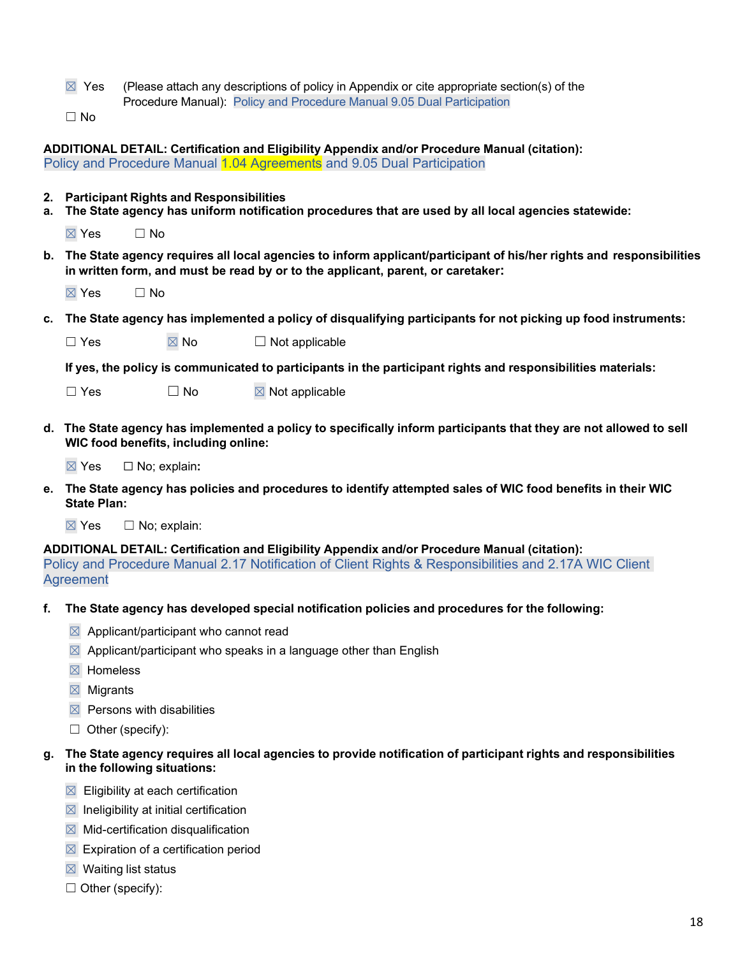|    | $\boxtimes$ Yes    |                                            | (Please attach any descriptions of policy in Appendix or cite appropriate section(s) of the                                                                                                               |
|----|--------------------|--------------------------------------------|-----------------------------------------------------------------------------------------------------------------------------------------------------------------------------------------------------------|
|    |                    |                                            | Procedure Manual): Policy and Procedure Manual 9.05 Dual Participation                                                                                                                                    |
|    | $\Box$ No          |                                            |                                                                                                                                                                                                           |
|    |                    |                                            | ADDITIONAL DETAIL: Certification and Eligibility Appendix and/or Procedure Manual (citation):<br>Policy and Procedure Manual 1.04 Agreements and 9.05 Dual Participation                                  |
| а. |                    | 2. Participant Rights and Responsibilities | The State agency has uniform notification procedures that are used by all local agencies statewide:                                                                                                       |
|    | $\boxtimes$ Yes    | $\Box$ No                                  |                                                                                                                                                                                                           |
|    |                    |                                            | b. The State agency requires all local agencies to inform applicant/participant of his/her rights and responsibilities<br>in written form, and must be read by or to the applicant, parent, or caretaker: |
|    | $\boxtimes$ Yes    | $\Box$ No                                  |                                                                                                                                                                                                           |
| c. |                    |                                            | The State agency has implemented a policy of disqualifying participants for not picking up food instruments:                                                                                              |
|    | $\Box$ Yes         | $\boxtimes$ No                             | $\Box$ Not applicable                                                                                                                                                                                     |
|    |                    |                                            | If yes, the policy is communicated to participants in the participant rights and responsibilities materials:                                                                                              |
|    | $\Box$ Yes         | $\Box$ No                                  | $\boxtimes$ Not applicable                                                                                                                                                                                |
|    |                    | WIC food benefits, including online:       | d. The State agency has implemented a policy to specifically inform participants that they are not allowed to sell                                                                                        |
|    | $\boxtimes$ Yes    | $\Box$ No; explain:                        |                                                                                                                                                                                                           |
|    | <b>State Plan:</b> |                                            | e. The State agency has policies and procedures to identify attempted sales of WIC food benefits in their WIC                                                                                             |
|    | $\boxtimes$ Yes    | $\Box$ No; explain:                        |                                                                                                                                                                                                           |
|    | Agreement          |                                            | ADDITIONAL DETAIL: Certification and Eligibility Appendix and/or Procedure Manual (citation):<br>Policy and Procedure Manual 2.17 Notification of Client Rights & Responsibilities and 2.17A WIC Client   |

- **f. The State agency has developed special notification policies and procedures for the following:**
	- $\boxtimes$  Applicant/participant who cannot read
	- $\boxtimes$  Applicant/participant who speaks in a language other than English
	- ☒ Homeless
	- ☒ Migrants
	- $\boxtimes$  Persons with disabilities
	- ☐ Other (specify):

# g. The State agency requires all local agencies to provide notification of participant rights and responsibilities **in the following situations:**

- $\boxtimes$  Eligibility at each certification
- $\boxtimes$  Ineligibility at initial certification
- $\boxtimes$  Mid-certification disqualification
- $\boxtimes$  Expiration of a certification period
- $\boxtimes$  Waiting list status
- ☐ Other (specify):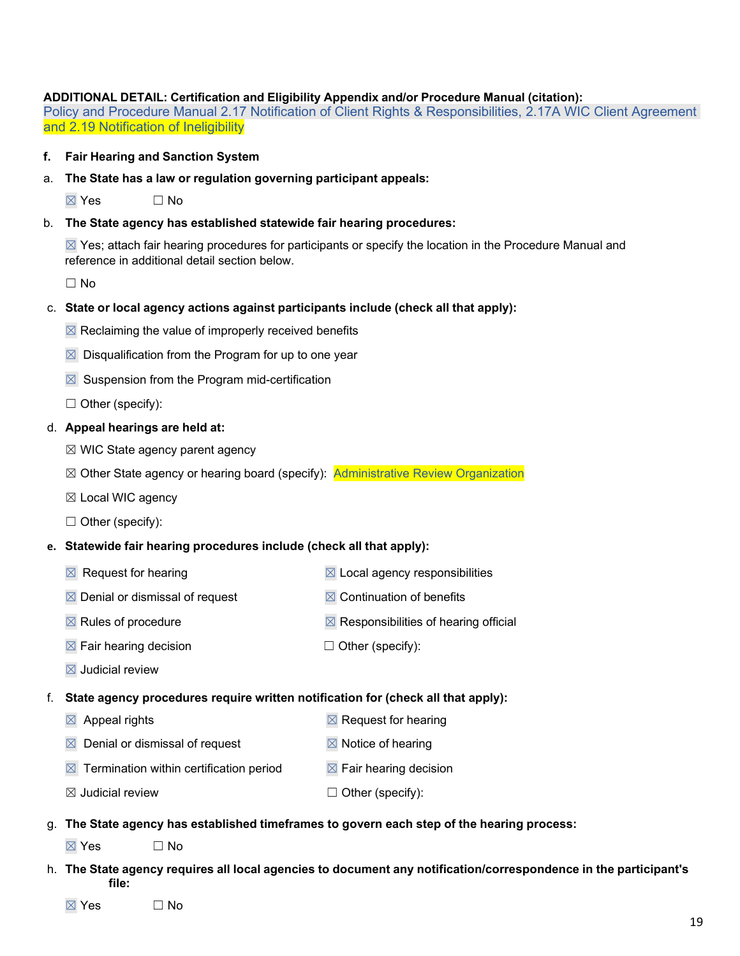# **ADDITIONAL DETAIL: Certification and Eligibility Appendix and/or Procedure Manual (citation):**

Policy and Procedure Manual 2.17 Notification of Client Rights & Responsibilities, 2.17A WIC Client Agreement and 2.19 Notification of Ineligibility

#### **f. Fair Hearing and Sanction System**

a. **The State has a law or regulation governing participant appeals:**

 $\boxtimes$  Yes  $\Box$  No

b. **The State agency has established statewide fair hearing procedures:**

 $\boxtimes$  Yes; attach fair hearing procedures for participants or specify the location in the Procedure Manual and reference in additional detail section below.

 $\Box$  No

c. **State or local agency actions against participants include (check all that apply):**

 $\boxtimes$  Reclaiming the value of improperly received benefits

- $\boxtimes$  Disqualification from the Program for up to one year
- $\boxtimes$  Suspension from the Program mid-certification
- $\Box$  Other (specify):

#### d. **Appeal hearings are held at:**

- ☒ WIC State agency parent agency
- ⊠ Other State agency or hearing board (specify): Administrative Review Organization
- ☒ Local WIC agency
- $\Box$  Other (specify):

# **e. Statewide fair hearing procedures include (check all that apply):**

- $\boxtimes$  Request for hearing  $\boxtimes$  Local agency responsibilities
- $\boxtimes$  Denial or dismissal of request  $\boxtimes$  Continuation of benefits
- $\boxtimes$  Rules of procedure  $\boxtimes$  Responsibilities of hearing official
- $\boxtimes$  Fair hearing decision  $\Box$  Other (specify):
- $\boxtimes$  Judicial review
- f. **State agency procedures require written notification for (check all that apply):**
	- $\boxtimes$  Appeal rights  $\boxtimes$  Request for hearing
	- $\boxtimes$  Denial or dismissal of request  $\boxtimes$  Notice of hearing
	- $\boxtimes$  Termination within certification period  $\boxtimes$  Fair hearing decision
	- $\boxtimes$  Judicial review  $\Box$  Other (specify):
- g. **The State agency has established timeframes to govern each step of the hearing process:**

 $\boxtimes$  Yes  $\Box$  No

- h. **The State agency requires all local agencies to document any notification/correspondence in the participant's file:**
	- $\boxtimes$  Yes  $\Box$  No